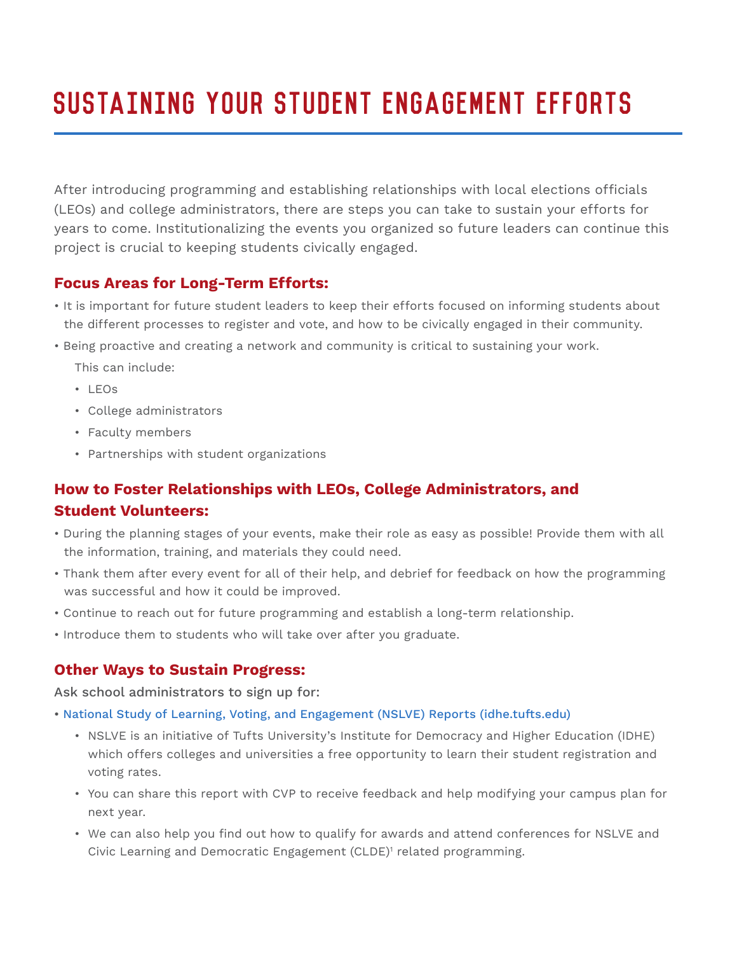# Sustaining Your Student Engagement Efforts

After introducing programming and establishing relationships with local elections officials (LEOs) and college administrators, there are steps you can take to sustain your efforts for years to come. Institutionalizing the events you organized so future leaders can continue this project is crucial to keeping students civically engaged.

## **Focus Areas for Long-Term Efforts:**

- It is important for future student leaders to keep their efforts focused on informing students about the different processes to register and vote, and how to be civically engaged in their community.
- Being proactive and creating a network and community is critical to sustaining your work.

This can include:

- LEOs
- College administrators
- Faculty members
- Partnerships with student organizations

# **How to Foster Relationships with LEOs, College Administrators, and Student Volunteers:**

- During the planning stages of your events, make their role as easy as possible! Provide them with all the information, training, and materials they could need.
- Thank them after every event for all of their help, and debrief for feedback on how the programming was successful and how it could be improved.
- Continue to reach out for future programming and establish a long-term relationship.
- Introduce them to students who will take over after you graduate.

### **Other Ways to Sustain Progress:**

Ask school administrators to sign up for:

- National Study of Learning, Voting, and Engagement (NSLVE) Reports (idhe.tufts.edu)
	- NSLVE is an initiative of Tufts University's Institute for Democracy and Higher Education (IDHE) which offers colleges and universities a free opportunity to learn their student registration and voting rates.
	- You can share this report with CVP to receive feedback and help modifying your campus plan for next year.
- We can also help you find out how to qualify for awards and attend conferences for NSLVE and Civic Learning and Democratic Engagement (CLDE)1 related programming.